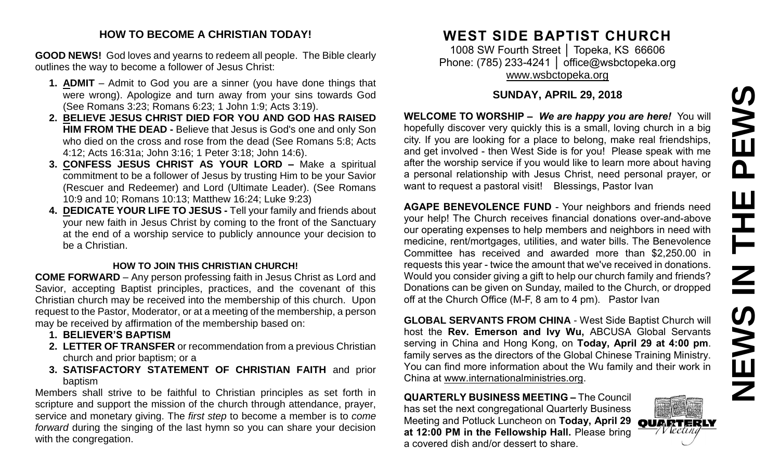#### **HOW TO BECOME A CHRISTIAN TODAY!**

**GOOD NEWS!** God loves and yearns to redeem all people. The Bible clearly outlines the way to become a follower of Jesus Christ:

- **1. ADMIT** Admit to God you are a sinner (you have done things that were wrong). Apologize and turn away from your sins towards God (See Romans 3:23; Romans 6:23; 1 John 1:9; Acts 3:19).
- **2. BELIEVE JESUS CHRIST DIED FOR YOU AND GOD HAS RAISED HIM FROM THE DEAD -** Believe that Jesus is God's one and only Son who died on the cross and rose from the dead (See Romans 5:8; Acts 4:12; Acts 16:31a; John 3:16; 1 Peter 3:18; John 14:6).
- **3. CONFESS JESUS CHRIST AS YOUR LORD –** Make a spiritual commitment to be a follower of Jesus by trusting Him to be your Savior (Rescuer and Redeemer) and Lord (Ultimate Leader). (See Romans 10:9 and 10; Romans 10:13; Matthew 16:24; Luke 9:23)
- **4. DEDICATE YOUR LIFE TO JESUS -** Tell your family and friends about your new faith in Jesus Christ by coming to the front of the Sanctuary at the end of a worship service to publicly announce your decision to be a Christian.

#### **HOW TO JOIN THIS CHRISTIAN CHURCH!**

**COME FORWARD** – Any person professing faith in Jesus Christ as Lord and Savior, accepting Baptist principles, practices, and the covenant of this Christian church may be received into the membership of this church. Upon request to the Pastor, Moderator, or at a meeting of the membership, a person may be received by affirmation of the membership based on:

- **1. BELIEVER'S BAPTISM**
- **2. LETTER OF TRANSFER** or recommendation from a previous Christian church and prior baptism; or a
- **3. SATISFACTORY STATEMENT OF CHRISTIAN FAITH** and prior baptism

Members shall strive to be faithful to Christian principles as set forth in scripture and support the mission of the church through attendance, prayer, service and monetary giving. The *first step* to become a member is to *come forward* during the singing of the last hymn so you can share your decision with the congregation.

# **WEST SIDE BAPTIST CHURCH**

1008 SW Fourth Street | Topeka, KS 66606 Phone: (785) 233-4241 │ [office@wsbctopeka.org](mailto:office@wsbctopeka.org) [www.wsbctopeka.org](http://www.wsbctopeka.org/)

#### **SUNDAY, APRIL 29, 2018**

**WELCOME TO WORSHIP –** *We are happy you are here!* You will hopefully discover very quickly this is a small, loving church in a big city. If you are looking for a place to belong, make real friendships, and get involved - then West Side is for you! Please speak with me after the worship service if you would like to learn more about having a personal relationship with Jesus Christ, need personal prayer, or want to request a pastoral visit! Blessings, Pastor Ivan

**AGAPE BENEVOLENCE FUND** - Your neighbors and friends need your help! The Church receives financial donations over-and-above our operating expenses to help members and neighbors in need with medicine, rent/mortgages, utilities, and water bills. The Benevolence Committee has received and awarded more than \$2,250.00 in requests this year - twice the amount that we've received in donations. Would you consider giving a gift to help our church family and friends? Donations can be given on Sunday, mailed to the Church, or dropped off at the Church Office (M-F, 8 am to 4 pm). Pastor Ivan

**GLOBAL SERVANTS FROM CHINA** - West Side Baptist Church will host the **Rev. Emerson and Ivy Wu,** ABCUSA Global Servants serving in China and Hong Kong, on **Today, April 29 at 4:00 pm**. family serves as the directors of the Global Chinese Training Ministry. You can find more information about the Wu family and their work in China at www.internationalministries.org.

**QUARTERLY BUSINESS MEETING –** The Council has set the next congregational Quarterly Business Meeting and Potluck Luncheon on **Today, April 29 at 12:00 PM in the Fellowship Hall.** Please bring a covered dish and/or dessert to share.

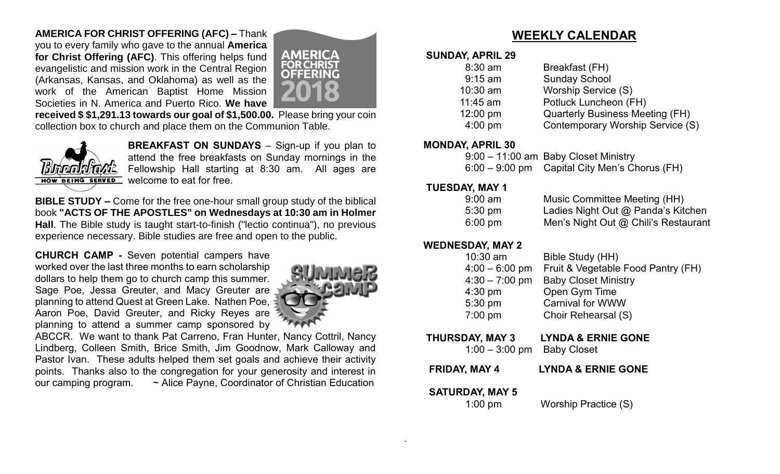## **AMERICA FOR CHRIST OFFERING (AFC) –** Thank

you to every family who gave to the annual **America for Christ Offering (AFC)**. This offering helps fund evangelistic and mission work in the Central Region (Arkansas, Kansas, and Oklahoma) as well as the work of the American Baptist Home Mission Societies in N. America and Puerto Rico. **We have** 



**received \$ \$1,291.13 towards our goal of \$1,500.00.** Please bring your coin collection box to church and place them on the Communion Table.



**BREAKFAST ON SUNDAYS** – Sign-up if you plan to attend the free breakfasts on Sunday mornings in the Fellowship Hall starting at 8:30 am. All ages are welcome to eat for free.

**BIBLE STUDY –** Come for the free one-hour small group study of the biblical book **"ACTS OF THE APOSTLES" on Wednesdays at 10:30 am in Holmer Hall**. The Bible study is taught start-to-finish ("lectio continua"), no previous experience necessary. Bible studies are free and open to the public.

**CHURCH CAMP -** Seven potential campers have worked over the last three months to earn scholarship dollars to help them go to church camp this summer. Sage Poe, Jessa Greuter, and Macy Greuter are planning to attend Quest at Green Lake. Nathen Poe, Aaron Poe, David Greuter, and Ricky Reyes are planning to attend a summer camp sponsored by



ABCCR. We want to thank Pat Carreno, Fran Hunter, Nancy Cottril, Nancy Lindberg, Colleen Smith, Brice Smith, Jim Goodnow, Mark Calloway and Pastor Ivan. These adults helped them set goals and achieve their activity points. Thanks also to the congregation for your generosity and interest in our camping program. ~ Alice Payne, Coordinator of Christian Education

## **WEEKLY CALENDAR**

#### **SUNDAY, APRIL 29**

| $8:30$ am  | Breakfast (FH)                          |
|------------|-----------------------------------------|
| $9:15$ am  | <b>Sunday School</b>                    |
| 10:30 am   | Worship Service (S)                     |
| $11:45$ am | Potluck Luncheon (FH)                   |
| 12:00 pm   | <b>Quarterly Business Meeting (FH)</b>  |
| $4:00$ pm  | <b>Contemporary Worship Service (S)</b> |
|            |                                         |

#### **MONDAY, APRIL 30**

| 9:00 - 11:00 am Baby Closet Ministry          |
|-----------------------------------------------|
| 6:00 – 9:00 pm Capital City Men's Chorus (FH) |

#### **TUESDAY, MAY 1**

| $9:00 \text{ am}$ | Music Committee Meeting (HH)         |
|-------------------|--------------------------------------|
| $5:30 \text{ pm}$ | Ladies Night Out @ Panda's Kitchen   |
| $6:00 \text{ pm}$ | Men's Night Out @ Chili's Restaurant |

## **WEDNESDAY, MAY 2**

| $10:30$ am       | Bible Study (HH)                   |
|------------------|------------------------------------|
| $4:00 - 6:00$ pm | Fruit & Vegetable Food Pantry (FH) |
| $4:30 - 7:00$ pm | <b>Baby Closet Ministry</b>        |
| $4:30$ pm        | Open Gym Time                      |
| 5:30 pm          | <b>Carnival for WWW</b>            |
| 7:00 pm          | Choir Rehearsal (S)                |
|                  |                                    |

## **THURSDAY, MAY 3 LYNDA & ERNIE GONE**

1:00 – 3:00 pm Baby Closet

 **FRIDAY, MAY 4 LYNDA & ERNIE GONE**

#### **SATURDAY, MAY 5**

.

1:00 pmWorship Practice (S)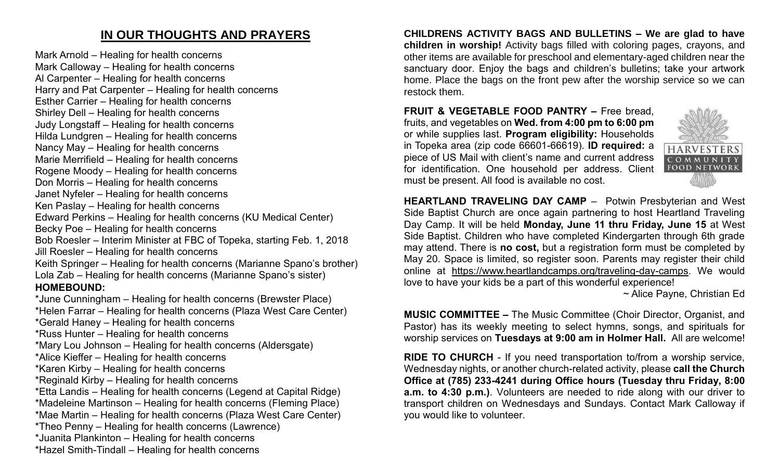## **IN OUR THOUGHTS AND PRAYERS**

Mark Arnold – Healing for health concerns Mark Calloway – Healing for health concerns Al Carpenter – Healing for health concerns Harry and Pat Carpenter – Healing for health concerns

Esther Carrier – Healing for health concerns

Shirley Dell – Healing for health concerns Judy Longstaff – Healing for health concerns

Hilda Lundgren – Healing for health concerns

Nancy May – Healing for health concerns

Marie Merrifield – Healing for health concerns Rogene Moody – Healing for health concerns

- Don Morris Healing for health concerns
- Janet Nyfeler Healing for health concerns
- 

Ken Paslay – Healing for health concerns

Edward Perkins – Healing for health concerns (KU Medical Center)

Becky Poe – Healing for health concerns

Bob Roesler – Interim Minister at FBC of Topeka, starting Feb. 1, 2018 Jill Roesler – Healing for health concerns

Keith Springer – Healing for health concerns (Marianne Spano's brother) Lola Zab – Healing for health concerns (Marianne Spano's sister) **HOMEBOUND:**

\*June Cunningham – Healing for health concerns (Brewster Place) \*Helen Farrar – Healing for health concerns (Plaza West Care Center) \*Gerald Haney – Healing for health concerns \*Russ Hunter – Healing for health concerns \*Mary Lou Johnson – Healing for health concerns (Aldersgate) \*Alice Kieffer – Healing for health concerns \*Karen Kirby – Healing for health concerns \*Reginald Kirby – Healing for health concerns \*Etta Landis – Healing for health concerns (Legend at Capital Ridge) \*Madeleine Martinson – Healing for health concerns (Fleming Place) \*Mae Martin – Healing for health concerns (Plaza West Care Center) \*Theo Penny – Healing for health concerns (Lawrence) \*Juanita Plankinton – Healing for health concerns

\*Hazel Smith-Tindall – Healing for health concerns

**CHILDRENS ACTIVITY BAGS AND BULLETINS – We are glad to have children in worship!** Activity bags filled with coloring pages, crayons, and other items are available for preschool and elementary-aged children near the sanctuary door. Enjoy the bags and children's bulletins; take your artwork home. Place the bags on the front pew after the worship service so we can restock them.

**FRUIT & VEGETABLE FOOD PANTRY –** Free bread, fruits, and vegetables on **Wed. from 4:00 pm to 6:00 pm**  or while supplies last. **Program eligibility:** Households in Topeka area (zip code 66601-66619). **ID required:** a piece of US Mail with client's name and current address for identification. One household per address. Client must be present. All food is available no cost.



**HEARTLAND TRAVELING DAY CAMP** –Potwin Presbyterian and West Side Baptist Church are once again partnering to host Heartland Traveling Day Camp. It will be held **Monday, June 11 thru Friday, June 15** at West Side Baptist. Children who have completed Kindergarten through 6th grade may attend. There is **no cost,** but a registration form must be completed by May 20. Space is limited, so register soon. Parents may register their child online at [https://www.heartlandcamps.org/traveling-day-camps.](https://www.heartlandcamps.org/traveling-day-camps) We would love to have your kids be a part of this wonderful experience!

~ Alice Payne, Christian Ed

**MUSIC COMMITTEE –** The Music Committee (Choir Director, Organist, and Pastor) has its weekly meeting to select hymns, songs, and spirituals for worship services on **Tuesdays at 9:00 am in Holmer Hall.** All are welcome!

**RIDE TO CHURCH** - If you need transportation to/from a worship service, Wednesday nights, or another church-related activity, please **call the Church Office at (785) 233-4241 during Office hours (Tuesday thru Friday, 8:00 a.m. to 4:30 p.m.)**. Volunteers are needed to ride along with our driver to transport children on Wednesdays and Sundays. Contact Mark Calloway if you would like to volunteer.